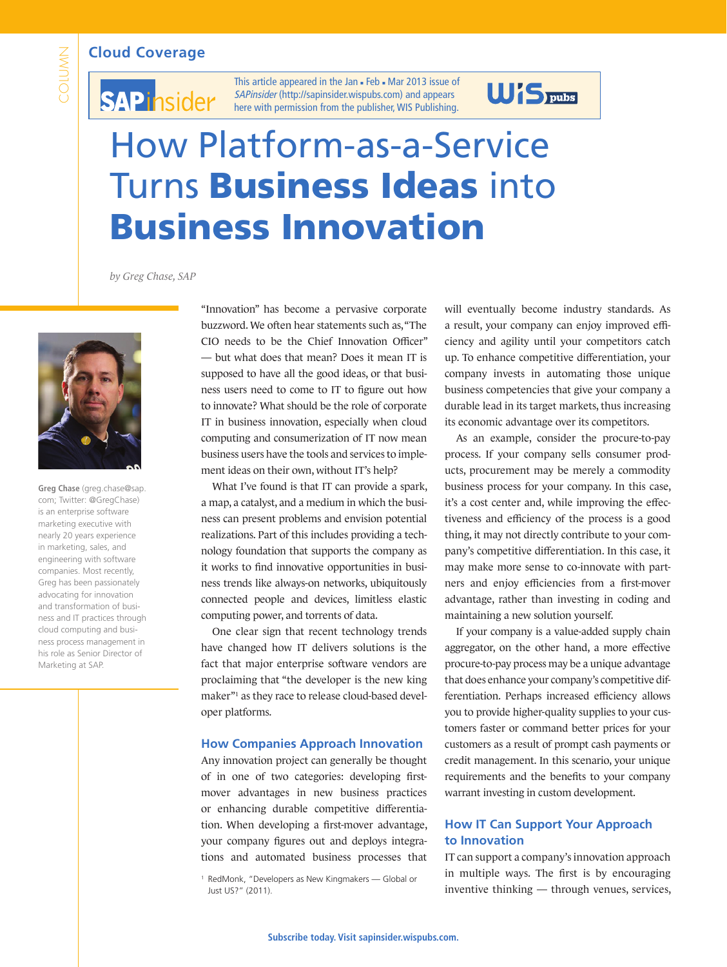#### **Cloud Coverage**



# **SAPinsider**

This article appeared in the Jan - Feb - Mar 2013 issue of SAPinsider (http://sapinsider.wispubs.com) and appears [here with permission from the publisher, WIS Publishing.](http://sapinsider.wispubs.com)

### $**S**$ **<sub>pubs</sub>**

## How Platform-as-a-Service Turns Business Ideas into Business Innovation

*by Greg Chase, SAP*



**Greg Chase** [\(greg.chase@sap.](mailto:greg.chase@sap.com) [com;](mailto:greg.chase@sap.com) Twitter: [@GregChase\)](http://www.twitter.com/GregChase)  is an enterprise software marketing executive with nearly 20 years experience in marketing, sales, and engineering with software companies. Most recently, Greg has been passionately advocating for innovation and transformation of business and IT practices through cloud computing and business process management in his role as Senior Director of Marketing at SAP.

"Innovation" has become a pervasive corporate buzzword. We often hear statements such as, "The CIO needs to be the Chief Innovation Officer" — but what does that mean? Does it mean IT is supposed to have all the good ideas, or that business users need to come to IT to figure out how to innovate? What should be the role of corporate IT in business innovation, especially when cloud computing and consumerization of IT now mean business users have the tools and services to implement ideas on their own, without IT's help?

What I've found is that IT can provide a spark, a map, a catalyst, and a medium in which the business can present problems and envision potential realizations. Part of this includes providing a technology foundation that supports the company as it works to find innovative opportunities in business trends like always-on networks, ubiquitously connected people and devices, limitless elastic computing power, and torrents of data.

One clear sign that recent technology trends have changed how IT delivers solutions is the fact that major enterprise software vendors are proclaiming that "the developer is the new king maker"1 as they race to release cloud-based developer platforms.

#### **How Companies Approach Innovation**

Any innovation project can generally be thought of in one of two categories: developing firstmover advantages in new business practices or enhancing durable competitive differentiation. When developing a first-mover advantage, your company figures out and deploys integrations and automated business processes that

will eventually become industry standards. As a result, your company can enjoy improved efficiency and agility until your competitors catch up. To enhance competitive differentiation, your company invests in automating those unique business competencies that give your company a durable lead in its target markets, thus increasing its economic advantage over its competitors.

As an example, consider the procure-to-pay process. If your company sells consumer products, procurement may be merely a commodity business process for your company. In this case, it's a cost center and, while improving the effectiveness and efficiency of the process is a good thing, it may not directly contribute to your company's competitive differentiation. In this case, it may make more sense to co-innovate with partners and enjoy efficiencies from a first-mover advantage, rather than investing in coding and maintaining a new solution yourself.

If your company is a value-added supply chain aggregator, on the other hand, a more effective procure-to-pay process may be a unique advantage that does enhance your company's competitive differentiation. Perhaps increased efficiency allows you to provide higher-quality supplies to your customers faster or command better prices for your customers as a result of prompt cash payments or credit management. In this scenario, your unique requirements and the benefits to your company warrant investing in custom development.

#### **How IT Can Support Your Approach to Innovation**

IT can support a company's innovation approach in multiple ways. The first is by encouraging inventive thinking — through venues, services,

<sup>1</sup> RedMonk, "Developers as New Kingmakers — Global or Just US?" (2011).